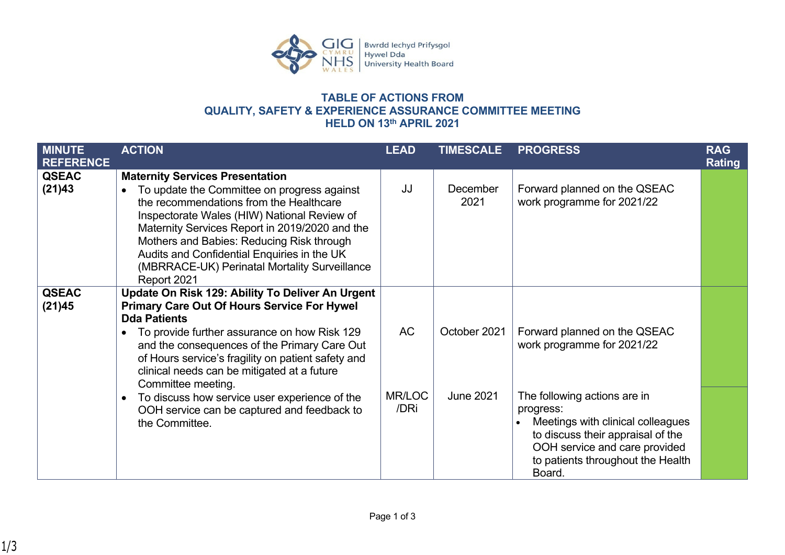

## **TABLE OF ACTIONS FROM QUALITY, SAFETY & EXPERIENCE ASSURANCE COMMITTEE MEETING HELD ON 13th APRIL 2021**

| <b>MINUTE</b><br><b>REFERENCE</b> | <b>ACTION</b>                                                                                                                                                                                                                                                                                                                                                                                 | <b>LEAD</b>    | <b>TIMESCALE</b> | <b>PROGRESS</b>                                                                                                                                                                                     | <b>RAG</b><br><b>Rating</b> |
|-----------------------------------|-----------------------------------------------------------------------------------------------------------------------------------------------------------------------------------------------------------------------------------------------------------------------------------------------------------------------------------------------------------------------------------------------|----------------|------------------|-----------------------------------------------------------------------------------------------------------------------------------------------------------------------------------------------------|-----------------------------|
| <b>QSEAC</b><br>(21)43            | <b>Maternity Services Presentation</b><br>To update the Committee on progress against<br>the recommendations from the Healthcare<br>Inspectorate Wales (HIW) National Review of<br>Maternity Services Report in 2019/2020 and the<br>Mothers and Babies: Reducing Risk through<br>Audits and Confidential Enquiries in the UK<br>(MBRRACE-UK) Perinatal Mortality Surveillance<br>Report 2021 | JJ             | December<br>2021 | Forward planned on the QSEAC<br>work programme for 2021/22                                                                                                                                          |                             |
| <b>QSEAC</b><br>(21)45            | Update On Risk 129: Ability To Deliver An Urgent<br><b>Primary Care Out Of Hours Service For Hywel</b><br><b>Dda Patients</b><br>To provide further assurance on how Risk 129<br>and the consequences of the Primary Care Out<br>of Hours service's fragility on patient safety and<br>clinical needs can be mitigated at a future<br>Committee meeting.                                      | <b>AC</b>      | October 2021     | Forward planned on the QSEAC<br>work programme for 2021/22                                                                                                                                          |                             |
|                                   | To discuss how service user experience of the<br>OOH service can be captured and feedback to<br>the Committee.                                                                                                                                                                                                                                                                                | MR/LOC<br>/DRi | <b>June 2021</b> | The following actions are in<br>progress:<br>Meetings with clinical colleagues<br>to discuss their appraisal of the<br>OOH service and care provided<br>to patients throughout the Health<br>Board. |                             |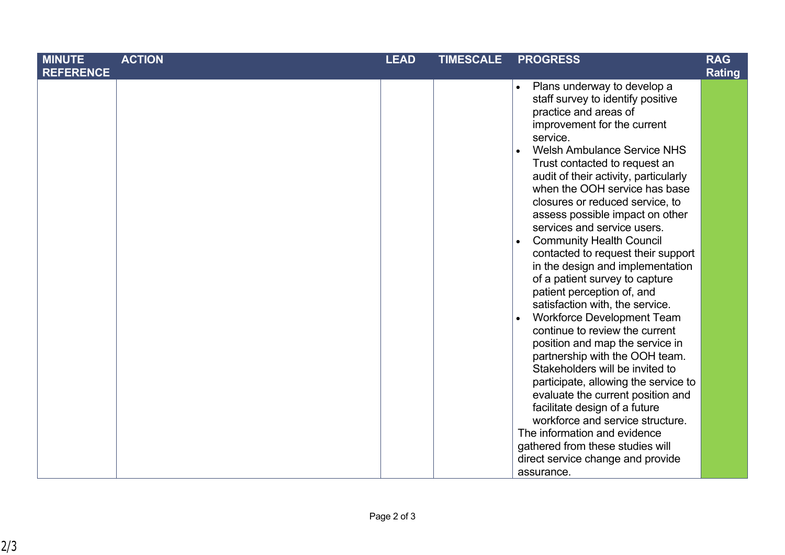| <b>MINUTE</b>    | <b>ACTION</b> | <b>LEAD</b> | <b>TIMESCALE</b> | <b>PROGRESS</b>                                                                                                                                                                                                                                                                                                                                                                                                                                                                                                                                                                                                                                                                                                                                                                                                                                                                                                                                                                                                                                                                                   | <b>RAG</b>    |
|------------------|---------------|-------------|------------------|---------------------------------------------------------------------------------------------------------------------------------------------------------------------------------------------------------------------------------------------------------------------------------------------------------------------------------------------------------------------------------------------------------------------------------------------------------------------------------------------------------------------------------------------------------------------------------------------------------------------------------------------------------------------------------------------------------------------------------------------------------------------------------------------------------------------------------------------------------------------------------------------------------------------------------------------------------------------------------------------------------------------------------------------------------------------------------------------------|---------------|
| <b>REFERENCE</b> |               |             |                  |                                                                                                                                                                                                                                                                                                                                                                                                                                                                                                                                                                                                                                                                                                                                                                                                                                                                                                                                                                                                                                                                                                   | <b>Rating</b> |
|                  |               |             |                  | Plans underway to develop a<br>$\bullet$<br>staff survey to identify positive<br>practice and areas of<br>improvement for the current<br>service.<br><b>Welsh Ambulance Service NHS</b><br>$\bullet$<br>Trust contacted to request an<br>audit of their activity, particularly<br>when the OOH service has base<br>closures or reduced service, to<br>assess possible impact on other<br>services and service users.<br><b>Community Health Council</b><br>$\bullet$<br>contacted to request their support<br>in the design and implementation<br>of a patient survey to capture<br>patient perception of, and<br>satisfaction with, the service.<br>Workforce Development Team<br>$\bullet$<br>continue to review the current<br>position and map the service in<br>partnership with the OOH team.<br>Stakeholders will be invited to<br>participate, allowing the service to<br>evaluate the current position and<br>facilitate design of a future<br>workforce and service structure.<br>The information and evidence<br>gathered from these studies will<br>direct service change and provide |               |
|                  |               |             |                  | assurance.                                                                                                                                                                                                                                                                                                                                                                                                                                                                                                                                                                                                                                                                                                                                                                                                                                                                                                                                                                                                                                                                                        |               |